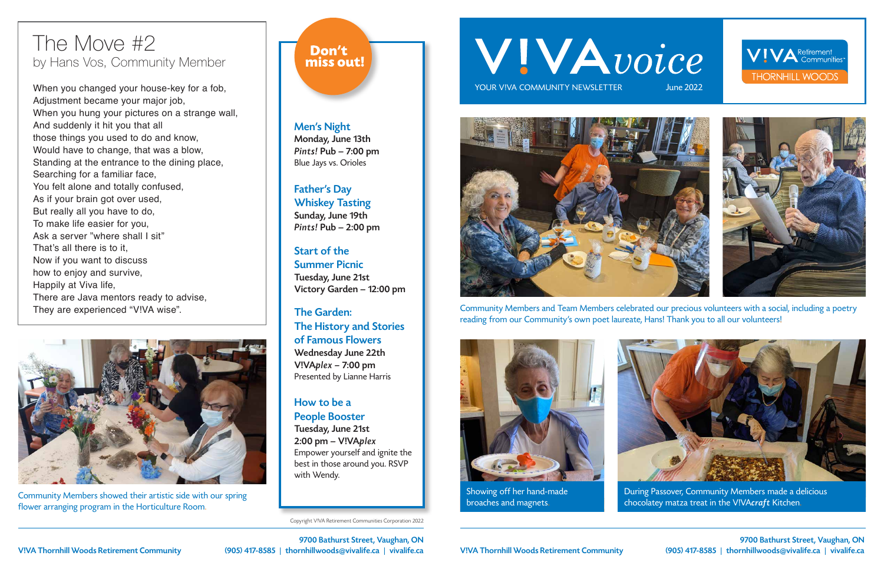9700 Bathurst Street, Vaughan, ON (905) 417-8585 | thornhillwoods@vivalife.ca | vivalife.ca

Copyright V!VA Retirement Communities Corporation 2022

# WIVAvoice

YOUR VIVA COMMUNITY NEWSLETTER





Showing off her hand-made broaches and magnets.

During Passover, Community Members made a delicious chocolatey matza treat in the V!VAcraft Kitchen.

Community Members and Team Members celebrated our precious volunteers with a social, including a poetry reading from our Community's own poet laureate, Hans! Thank you to all our volunteers!



Community Members showed their artistic side with our spring flower arranging program in the Horticulture Room.

### Don't miss out!







Men's Night Monday, June 13th Pints! Pub – 7:00 pm Blue Jays vs. Orioles

Father's Day Whiskey Tasting Sunday, June 19th Pints! Pub – 2:00 pm

Start of the Summer Picnic Tuesday, June 21st Victory Garden – 12:00 pm

The Garden: The History and Stories of Famous Flowers Wednesday June 22th V!VAplex – 7:00 pm Presented by Lianne Harris

How to be a People Booster Tuesday, June 21st

2:00 pm – V!VAplex Empower yourself and ignite the best in those around you. RSVP with Wendy.

### The Move #2 by Hans Vos, Community Member

When you changed your house-key for a fob, Adjustment became your major job, When you hung your pictures on a strange wall, And suddenly it hit you that all those things you used to do and know, Would have to change, that was a blow, Standing at the entrance to the dining place, Searching for a familiar face, You felt alone and totally confused, As if your brain got over used, But really all you have to do, To make life easier for you, Ask a server "where shall I sit" That's all there is to it, Now if you want to discuss how to enjoy and survive, Happily at Viva life, There are Java mentors ready to advise, They are experienced "V!VA wise".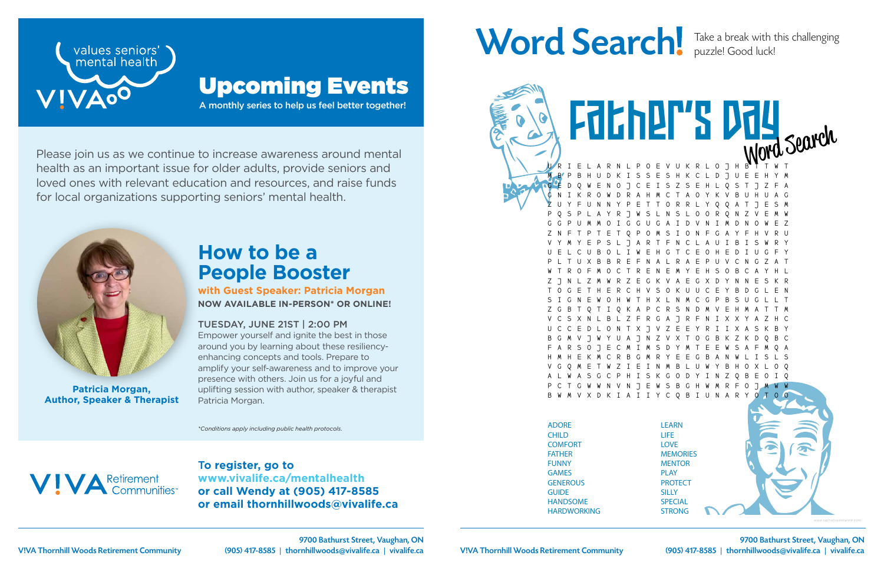T**o register, go to www.vivalife.ca/mentalhealth or call Wendy at (905) 417-8585 or email thornhillwoods@vivalife.ca**

## Word Search! Take a break with this challenging



Please join us as we continue to increase awareness around mental health as an important issue for older adults, provide seniors and loved ones with relevant education and resources, and raise funds for local organizations supporting seniors' mental health.



A monthly series to help us feel better together!



### Upcoming Events

*\*Conditions apply including public health protocols.*



### **How to be a People Booster**

**with Guest Speaker: Patricia Morgan NOW AVAILABLE IN-PERSON\* OR ONLINE!**

LEARN E V U K R L O J H M B P B H U D K I S S E S H K C L D J U E E H Y M G E D Q W E N O J C E I S Z S E H L Q S T J Z F A G N I K R O W D R A H M C T A O Y K V B U H U A G Z U Y F U N N Y P E T T O R R L Y Q Q A T J E S M P Q S P L A Y R J W S L N S L O O R Q N Z V E M W G G P U M M O I G G U G A I D V N I M D N O W E Z Z N F T P T E T Q P O M S I O N F G A Y F H V R U V Y M Y E P S L J A R T F N C L A U I B I S W R Y U E L C U B O L I W E H G T C E O H E D I U G F Y P L T U X B B R E F N A L R A E P U V C N G Z A T W T R O F M O C T R E N E M Y E H S O B C A Y H L Z J N L Z M W R Z E G K V A E G X D Y N N E S K R T O G E T H E R C H V S O K U U C E Y B D G L E N S I G N E W O H W T H X L N M C G P B S U G L L T A P C R S N D V C S X N L B L Z F R G A J R F N I X X Y A Z H C U C C E D L O N T X J V Z E E Y R I I X A S K B Y 8 7 N 7 V X T F A R S O J E C M I M S D Y M T E E W S A F M Q A H M H E K M C R B G M R Y E E G B A N W L I S L S V G Q M E T W Z I E I N M B L U W Y B H O X L O Q I S K G O D Y I N Z N V N J E W S B G H W M R F V X D K I A I I Y C Q B I U N A R Father's Day

#### TUESDAY, JUNE 21ST | 2:00 PM

Empower yourself and ignite the best in those around you by learning about these resiliencyenhancing concepts and tools. Prepare to amplify your self-awareness and to improve your presence with others. Join us for a joyful and uplifting session with author, speaker & therapist Patricia Morgan.

**Patricia Morgan, Author, Speaker & Therapist** puzzle! Good luck!

ADORE CHILD **COMFORT** FATHER FUNNY GAMES **GENEROUS GUIDE** HANDSOME HARDWORKING

Husband (1989)

LIFE LOVE **MEMORIES MENTOR** PLAY **PROTECT SILLY SPECIAL** STRONG

SWEET

(905) 417-8585 | thornhillwoods@vivalife.ca | vivalife.ca 9700 Bathurst Street, Vaughan, ON

V!VA Thornhill Woods Retirement Community (905) 417-8585 | thornhillwoods@vivalife.ca | vivalife.ca V!VA Thornhill Woods Retirement Community 9700 Bathurst Street, Vaughan, ON



*www.saynotsweetanne.com*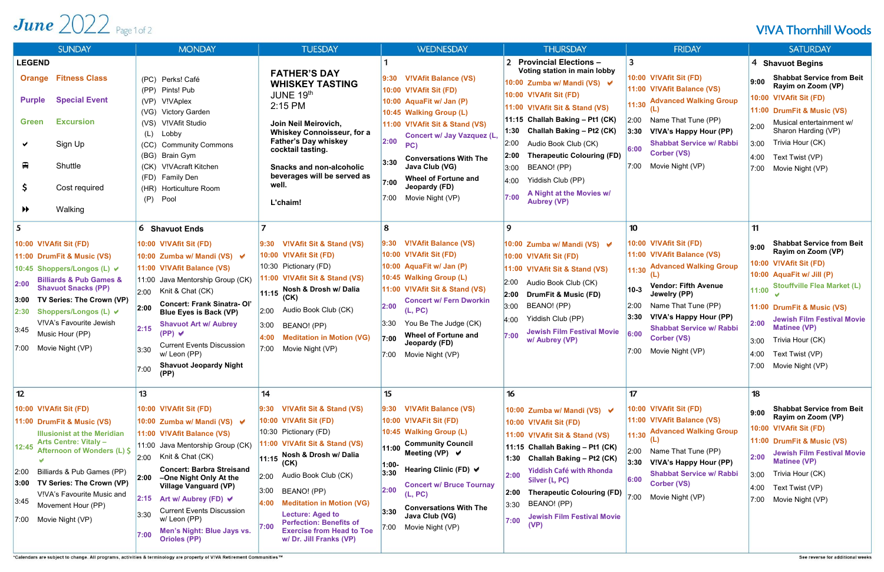## June  $2022$  Page 1 of 2

| <b>SUNDAY</b>                                                                                                                                                                                                                                                                                                                         | <b>MONDAY</b>                                                                                                                                                                                                                                                                                                                                                                                                                 | <b>TUESDAY</b>                                                                                                                                                                                                                                                                                                                                                                                               | <b>WEDNESDAY</b>                                                                                                                                                                                                                                                                                                                          | <b>THURSDAY</b>                                                                                                                                                                                                                                                                                                                                                                                                | <b>FRIDAY</b>                                                                                                                                                                                                                                                                                                                      | <b>SATURDAY</b>                                                                                                                                                                                                                                                                                                                                              |
|---------------------------------------------------------------------------------------------------------------------------------------------------------------------------------------------------------------------------------------------------------------------------------------------------------------------------------------|-------------------------------------------------------------------------------------------------------------------------------------------------------------------------------------------------------------------------------------------------------------------------------------------------------------------------------------------------------------------------------------------------------------------------------|--------------------------------------------------------------------------------------------------------------------------------------------------------------------------------------------------------------------------------------------------------------------------------------------------------------------------------------------------------------------------------------------------------------|-------------------------------------------------------------------------------------------------------------------------------------------------------------------------------------------------------------------------------------------------------------------------------------------------------------------------------------------|----------------------------------------------------------------------------------------------------------------------------------------------------------------------------------------------------------------------------------------------------------------------------------------------------------------------------------------------------------------------------------------------------------------|------------------------------------------------------------------------------------------------------------------------------------------------------------------------------------------------------------------------------------------------------------------------------------------------------------------------------------|--------------------------------------------------------------------------------------------------------------------------------------------------------------------------------------------------------------------------------------------------------------------------------------------------------------------------------------------------------------|
| <b>LEGEND</b><br><b>Orange Fitness Class</b><br><b>Special Event</b><br><b>Purple</b><br><b>Excursion</b><br><b>Green</b><br>Sign Up<br>$\blacksquare$<br>Shuttle<br>Cost required<br>-S<br>Walking<br>$\blacktriangleright$                                                                                                          | (PC) Perks! Café<br>Pints! Pub<br>(PP)<br>(VP)<br>V!VAplex<br>(VG) Victory Garden<br>(VS)<br>V!VAfit Studio<br>Lobby<br>(L)<br>(CC)<br><b>Community Commons</b><br>(BG) Brain Gym<br>(CK) V!VAcraft Kitchen<br><b>Family Den</b><br>(FD)<br>(HR) Horticulture Room<br>Pool<br>(P)                                                                                                                                             | <b>FATHER'S DAY</b><br><b>WHISKEY TASTING</b><br>JUNE 19th<br>2:15 PM<br>Join Neil Meirovich,<br><b>Whiskey Connoisseur, for a</b><br><b>Father's Day whiskey</b><br>cocktail tasting.<br><b>Snacks and non-alcoholic</b><br>beverages will be served as<br>well.<br>L'chaim!                                                                                                                                | 9:30 V!VAfit Balance (VS)<br>10:00 V!VAfit Sit (FD)<br>10:00 AquaFit w/ Jan (P)<br>10:45 Walking Group (L)<br>11:00 V!VAfit Sit & Stand (VS)<br>Concert w/ Jay Vazquez (L,<br> 2:00<br>PC)<br><b>Conversations With The</b><br>3:30<br>Java Club (VG)<br><b>Wheel of Fortune and</b><br>7:00<br>Jeopardy (FD)<br>Movie Night (VP)<br>7:00 | 2 Provincial Elections -<br>Voting station in main lobby<br>10:00 Zumba w/ Mandi (VS) ↓<br>10:00 V!VAfit Sit (FD)<br>11:00 V!VAfit Sit & Stand (VS)<br>11:15 Challah Baking - Pt1 (CK)<br>1:30<br>Challah Baking – Pt2 (CK)<br>2:00<br>Audio Book Club (CK)<br><b>Therapeutic Colouring (FD)</b><br>BEANO! (PP)<br>3:00<br>Yiddish Club (PP)<br>4:00<br>A Night at the Movies w/<br>7:00<br><b>Aubrey (VP)</b> | 3<br>10:00 V!VAfit Sit (FD)<br>11:00 V!VAfit Balance (VS)<br><b>Advanced Walking Group</b><br>11:30<br>2:00<br>Name That Tune (PP)<br>V!VA's Happy Hour (PP)<br>3:30<br><b>Shabbat Service w/ Rabbi</b><br>6:00<br><b>Corber (VS)</b><br>7:00<br>Movie Night (VP)                                                                  | <b>Shavuot Begins</b><br>4<br><b>Shabbat Service from Beit</b><br>9:00<br>Rayim on Zoom (VP)<br>10:00 V!VAfit Sit (FD)<br>11:00 DrumFit & Music (VS)<br>Musical entertainment w/<br>2:00<br>Sharon Harding (VP)<br>Trivia Hour (CK)<br>3:00<br>4:00<br>Text Twist (VP)<br>7:00<br>Movie Night (VP)                                                           |
| 10:00 V!VAfit Sit (FD)<br>11:00 DrumFit & Music (VS)<br>10:45 Shoppers/Longos (L) V<br><b>Billiards &amp; Pub Games &amp;</b><br>2:00<br><b>Shavuot Snacks (PP)</b><br>TV Series: The Crown (VP)<br>3:00<br>2:30 Shoppers/Longos (L) V<br>V!VA's Favourite Jewish<br>3:45<br>Music Hour (PP)<br>7:00 Movie Night (VP)                 | 6 Shavuot Ends<br>10:00 V!VAfit Sit (FD)<br>10:00 Zumba w/ Mandi (VS) ↓<br>11:00 V!VAfit Balance (VS)<br>11:00 Java Mentorship Group (CK)<br>Knit & Chat (CK)<br>2:00<br><b>Concert: Frank Sinatra- Ol'</b><br>2:00<br>Blue Eyes is Back (VP)<br><b>Shavuot Art w/ Aubrey</b><br>2:15<br>$(PP)$ $\checkmark$<br><b>Current Events Discussion</b><br>3:30<br>w/ Leon (PP)<br><b>Shavuot Jeopardy Night</b><br>7:00<br>(PP)     | V!VAfit Sit & Stand (VS)<br> 9:30<br>10:00 V!VAfit Sit (FD)<br>10:30 Pictionary (FD)<br>11:00 V!VAfit Sit & Stand (VS)<br>11:15 Nosh & Drosh w/ Dalia<br>(CK)<br>Audio Book Club (CK)<br>2:00<br>3:00<br>BEANO! (PP)<br><b>Meditation in Motion (VG)</b><br>$ 4:00\rangle$<br>7:00<br>Movie Night (VP)                                                                                                       | 8<br>9:30 V!VAfit Balance (VS)<br>10:00 V!VAfit Sit (FD)<br>10:00 AquaFit w/ Jan (P)<br>10:45 Walking Group (L)<br>11:00 V!VAfit Sit & Stand (VS)<br><b>Concert w/ Fern Dworkin</b><br>2:00<br>(L, PC)<br>You Be The Judge (CK)<br>3:30<br><b>Wheel of Fortune and</b><br>7:00<br>Jeopardy (FD)<br>7:00<br>Movie Night (VP)               | 9<br>10:00 Zumba w/ Mandi (VS) ↓<br>10:00 V!VAfit Sit (FD)<br>11:00 V!VAfit Sit & Stand (VS)<br> 2:00 <br>Audio Book Club (CK)<br><b>DrumFit &amp; Music (FD)</b><br> 2:00 <br>BEANO! (PP)<br> 3:00 <br>Yiddish Club (PP)<br> 4:00 <br><b>Jewish Film Festival Movie</b><br>7:00<br>w/ Aubrey (VP)                                                                                                             | 10<br>10:00 V!VAfit Sit (FD)<br>11:00 V!VAfit Balance (VS)<br><b>Advanced Walking Group</b><br>11:30<br><b>Vendor: Fifth Avenue</b><br>$10-3$<br>Jewelry (PP)<br>2:00<br>Name That Tune (PP)<br>3:30<br><b>V!VA's Happy Hour (PP)</b><br><b>Shabbat Service w/ Rabbi</b><br>6:00<br><b>Corber (VS)</b><br>7:00<br>Movie Night (VP) | 11<br><b>Shabbat Service from Beit</b><br>9:00<br>Rayim on Zoom (VP)<br>10:00 V!VAfit Sit (FD)<br>10:00 AquaFit w/ Jill (P)<br><b>Stouffville Flea Market (L)</b><br>11:00<br>11:00 DrumFit & Music (VS)<br><b>Jewish Film Festival Movie</b><br>2:00<br><b>Matinee (VP)</b><br>Trivia Hour (CK)<br>3:00<br>Text Twist (VP)<br>4:00<br>7:00 Movie Night (VP) |
| 12<br>10:00 V!VAfit Sit (FD)<br>11:00 DrumFit & Music (VS)<br><b>Illusionist at the Meridian</b><br><b>Arts Centre: Vitaly -</b><br>12:45<br>Afternoon of Wonders (L) \$<br>Billiards & Pub Games (PP)<br>2:00<br>3:00 TV Series: The Crown (VP)<br>V!VA's Favourite Music and<br>3:45<br>Movement Hour (PP)<br>7:00 Movie Night (VP) | 13<br>10:00 V!VAfit Sit (FD)<br>10:00 Zumba w/ Mandi (VS) ↓<br>11:00 V!VAfit Balance (VS)<br>11:00 Java Mentorship Group (CK)<br>$ 2:00$ Knit & Chat (CK)<br><b>Concert: Barbra Streisand</b><br>2:00<br>-One Night Only At the<br><b>Village Vanguard (VP)</b><br>2:15<br>Art w/ Aubrey (FD) $\vee$<br><b>Current Events Discussion</b><br>3:30<br>w/ Leon (PP)<br>Men's Night: Blue Jays vs.<br>7:00<br><b>Orioles (PP)</b> | 14<br>9:30 V!VAfit Sit & Stand (VS)<br>10:00 V!VAfit Sit (FD)<br>10:30 Pictionary (FD)<br>11:00 V!VAfit Sit & Stand (VS)<br>11:15 Nosh & Drosh w/ Dalia<br>(CK)<br>Audio Book Club (CK)<br> 2:00 <br> 3:00 <br>BEANO! (PP)<br> 4:00 <br><b>Meditation in Motion (VG)</b><br><b>Lecture: Aged to</b><br><b>Perfection: Benefits of</b><br>7:00<br><b>Exercise from Head to Toe</b><br>w/ Dr. Jill Franks (VP) | 15<br>9:30 V!VAfit Balance (VS)<br>10:00 V!VAFit Sit (FD)<br>10:45 Walking Group (L)<br><b>Community Council</b><br>11:00<br>Meeting (VP) $\vee$<br>1:00-<br>Hearing Clinic (FD) ↓<br>3:30<br><b>Concert w/ Bruce Tournay</b><br> 2:00<br>(L, PC)<br><b>Conversations With The</b><br>3:30<br>Java Club (VG)<br>7:00 Movie Night (VP)     | 16<br>10:00 Zumba w/ Mandi (VS) ↓<br>10:00 V!VAfit Sit (FD)<br>11:00 V!VAfit Sit & Stand (VS)<br>11:15 Challah Baking - Pt1 (CK)<br>1:30 Challah Baking - Pt2 (CK)<br><b>Yiddish Café with Rhonda</b><br>2:00<br>Silver (L, PC)<br><b>Therapeutic Colouring (FD)</b><br>2:00<br>BEANO! (PP)<br>3:30<br><b>Jewish Film Festival Movie</b><br>7:00<br>(VP)                                                       | 17<br>10:00 V!VAfit Sit (FD)<br>11:00 V!VAfit Balance (VS)<br><b>Advanced Walking Group</b><br>11:30<br>2:00<br>Name That Tune (PP)<br>3:30 V!VA's Happy Hour (PP)<br><b>Shabbat Service w/ Rabbi</b><br> 6:00 <br><b>Corber (VS)</b><br>7:00<br>Movie Night (VP)                                                                  | 18<br><b>Shabbat Service from Beit</b><br>9:00<br>Rayim on Zoom (VP)<br>10:00 V!VAfit Sit (FD)<br>11:00 DrumFit & Music (VS)<br><b>Jewish Film Festival Movie</b><br>2:00<br><b>Matinee (VP)</b><br>Trivia Hour (CK)<br>3:00<br>Text Twist (VP)<br>4:00<br>Movie Night (VP)<br>7:00                                                                          |

\*Calendars are subject to change. All programs, activities & terminology are property of V!VA Retirement Communities ™

### **VIVA Thornhill Woods**